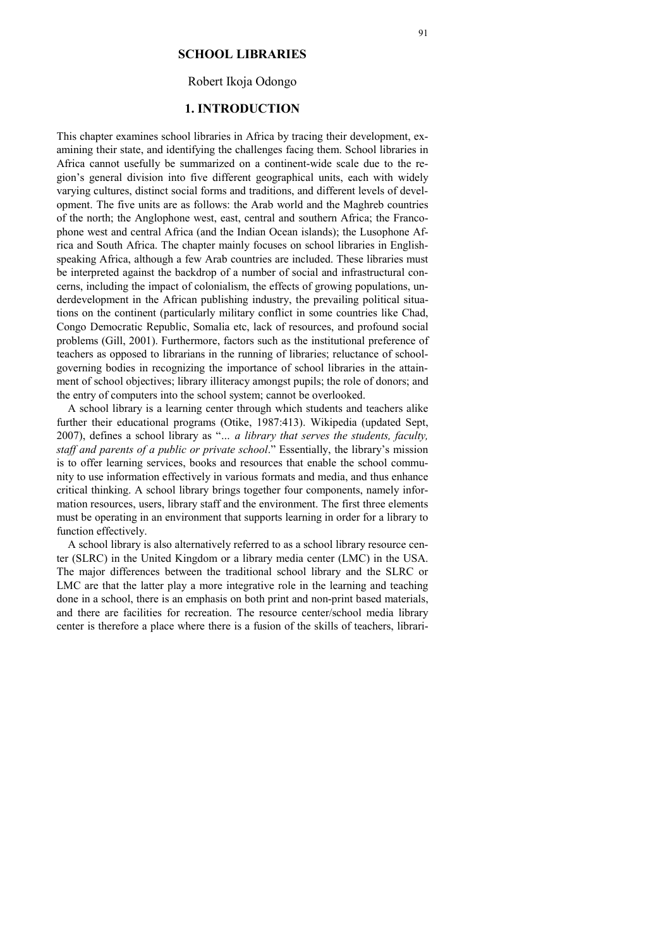### **SCHOOL LIBRARIES**

# Robert Ikoja Odongo

# **1. INTRODUCTION**

This chapter examines school libraries in Africa by tracing their development, examining their state, and identifying the challenges facing them. School libraries in Africa cannot usefully be summarized on a continent-wide scale due to the region's general division into five different geographical units, each with widely varying cultures, distinct social forms and traditions, and different levels of development. The five units are as follows: the Arab world and the Maghreb countries of the north; the Anglophone west, east, central and southern Africa; the Francophone west and central Africa (and the Indian Ocean islands); the Lusophone Africa and South Africa. The chapter mainly focuses on school libraries in Englishspeaking Africa, although a few Arab countries are included. These libraries must be interpreted against the backdrop of a number of social and infrastructural concerns, including the impact of colonialism, the effects of growing populations, underdevelopment in the African publishing industry, the prevailing political situations on the continent (particularly military conflict in some countries like Chad, Congo Democratic Republic, Somalia etc, lack of resources, and profound social problems (Gill, 2001). Furthermore, factors such as the institutional preference of teachers as opposed to librarians in the running of libraries; reluctance of schoolgoverning bodies in recognizing the importance of school libraries in the attainment of school objectives; library illiteracy amongst pupils; the role of donors; and the entry of computers into the school system; cannot be overlooked.

A school library is a learning center through which students and teachers alike further their educational programs (Otike, 1987:413). Wikipedia (updated Sept, 2007), defines a school library as "*… a library that serves the students, faculty, staff and parents of a public or private school*." Essentially, the library's mission is to offer learning services, books and resources that enable the school community to use information effectively in various formats and media, and thus enhance critical thinking. A school library brings together four components, namely information resources, users, library staff and the environment. The first three elements must be operating in an environment that supports learning in order for a library to function effectively.

A school library is also alternatively referred to as a school library resource center (SLRC) in the United Kingdom or a library media center (LMC) in the USA. The major differences between the traditional school library and the SLRC or LMC are that the latter play a more integrative role in the learning and teaching done in a school, there is an emphasis on both print and non-print based materials, and there are facilities for recreation. The resource center/school media library center is therefore a place where there is a fusion of the skills of teachers, librari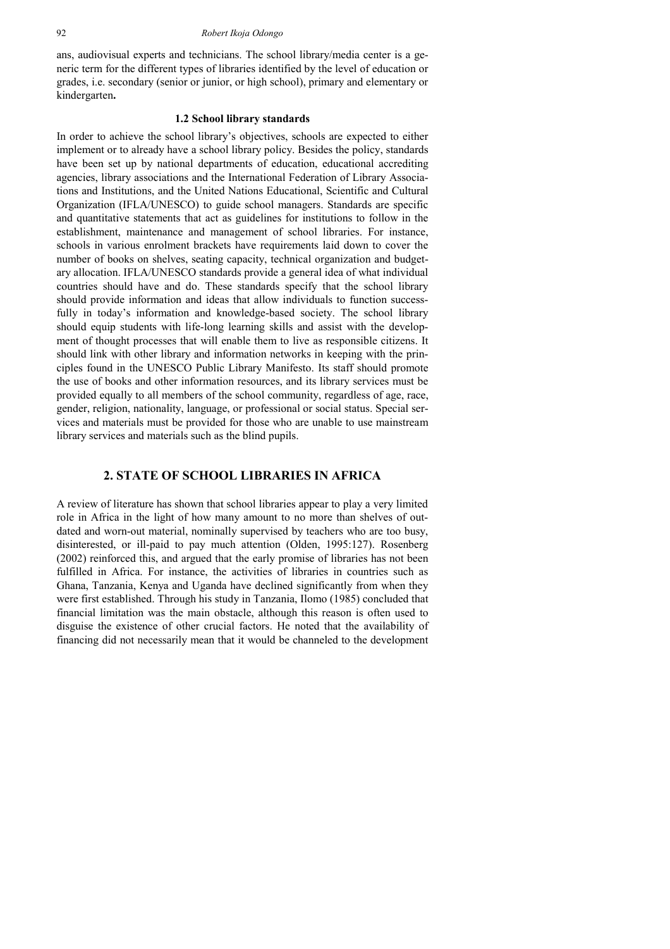ans, audiovisual experts and technicians. The school library/media center is a generic term for the different types of libraries identified by the level of education or grades, i.e. secondary (senior or junior, or high school), primary and elementary or kindergarten**.** 

#### **1.2 School library standards**

In order to achieve the school library's objectives, schools are expected to either implement or to already have a school library policy. Besides the policy, standards have been set up by national departments of education, educational accrediting agencies, library associations and the International Federation of Library Associations and Institutions, and the United Nations Educational, Scientific and Cultural Organization (IFLA/UNESCO) to guide school managers. Standards are specific and quantitative statements that act as guidelines for institutions to follow in the establishment, maintenance and management of school libraries. For instance, schools in various enrolment brackets have requirements laid down to cover the number of books on shelves, seating capacity, technical organization and budgetary allocation. IFLA/UNESCO standards provide a general idea of what individual countries should have and do. These standards specify that the school library should provide information and ideas that allow individuals to function successfully in today's information and knowledge-based society. The school library should equip students with life-long learning skills and assist with the development of thought processes that will enable them to live as responsible citizens. It should link with other library and information networks in keeping with the principles found in the UNESCO Public Library Manifesto. Its staff should promote the use of books and other information resources, and its library services must be provided equally to all members of the school community, regardless of age, race, gender, religion, nationality, language, or professional or social status. Special services and materials must be provided for those who are unable to use mainstream library services and materials such as the blind pupils.

## **2. STATE OF SCHOOL LIBRARIES IN AFRICA**

A review of literature has shown that school libraries appear to play a very limited role in Africa in the light of how many amount to no more than shelves of outdated and worn-out material, nominally supervised by teachers who are too busy, disinterested, or ill-paid to pay much attention (Olden, 1995:127). Rosenberg (2002) reinforced this, and argued that the early promise of libraries has not been fulfilled in Africa. For instance, the activities of libraries in countries such as Ghana, Tanzania, Kenya and Uganda have declined significantly from when they were first established. Through his study in Tanzania, Ilomo (1985) concluded that financial limitation was the main obstacle, although this reason is often used to disguise the existence of other crucial factors. He noted that the availability of financing did not necessarily mean that it would be channeled to the development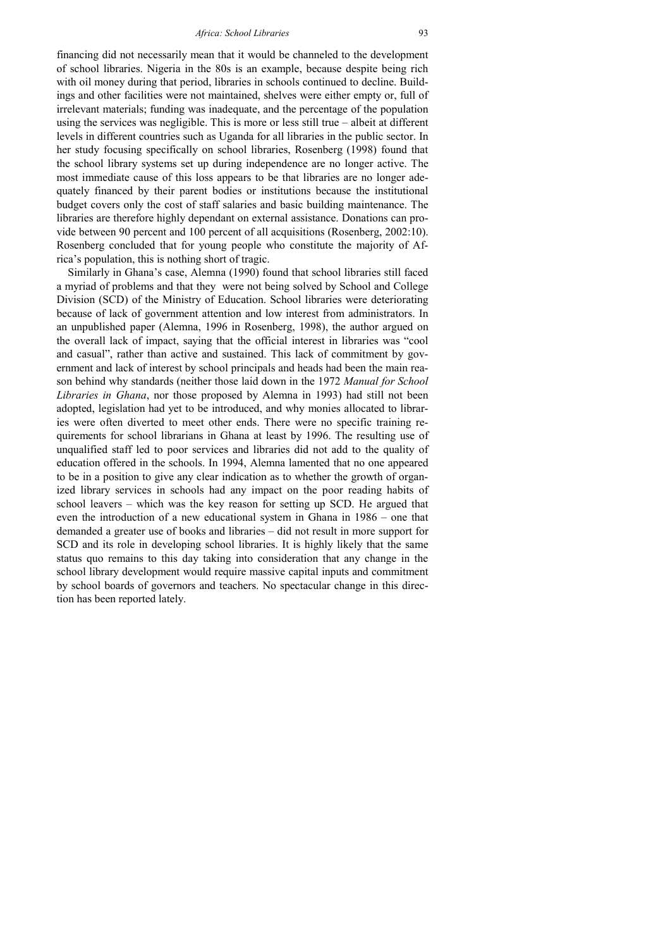financing did not necessarily mean that it would be channeled to the development of school libraries. Nigeria in the 80s is an example, because despite being rich with oil money during that period, libraries in schools continued to decline. Buildings and other facilities were not maintained, shelves were either empty or, full of irrelevant materials; funding was inadequate, and the percentage of the population using the services was negligible. This is more or less still true – albeit at different levels in different countries such as Uganda for all libraries in the public sector. In her study focusing specifically on school libraries, Rosenberg (1998) found that the school library systems set up during independence are no longer active. The most immediate cause of this loss appears to be that libraries are no longer adequately financed by their parent bodies or institutions because the institutional budget covers only the cost of staff salaries and basic building maintenance. The libraries are therefore highly dependant on external assistance. Donations can provide between 90 percent and 100 percent of all acquisitions (Rosenberg, 2002:10). Rosenberg concluded that for young people who constitute the majority of Africa's population, this is nothing short of tragic.

Similarly in Ghana's case, Alemna (1990) found that school libraries still faced a myriad of problems and that they were not being solved by School and College Division (SCD) of the Ministry of Education. School libraries were deteriorating because of lack of government attention and low interest from administrators. In an unpublished paper (Alemna, 1996 in Rosenberg, 1998), the author argued on the overall lack of impact, saying that the official interest in libraries was "cool and casual", rather than active and sustained. This lack of commitment by government and lack of interest by school principals and heads had been the main reason behind why standards (neither those laid down in the 1972 *Manual for School Libraries in Ghana*, nor those proposed by Alemna in 1993) had still not been adopted, legislation had yet to be introduced, and why monies allocated to libraries were often diverted to meet other ends. There were no specific training requirements for school librarians in Ghana at least by 1996. The resulting use of unqualified staff led to poor services and libraries did not add to the quality of education offered in the schools. In 1994, Alemna lamented that no one appeared to be in a position to give any clear indication as to whether the growth of organized library services in schools had any impact on the poor reading habits of school leavers – which was the key reason for setting up SCD. He argued that even the introduction of a new educational system in Ghana in 1986 – one that demanded a greater use of books and libraries – did not result in more support for SCD and its role in developing school libraries. It is highly likely that the same status quo remains to this day taking into consideration that any change in the school library development would require massive capital inputs and commitment by school boards of governors and teachers. No spectacular change in this direction has been reported lately.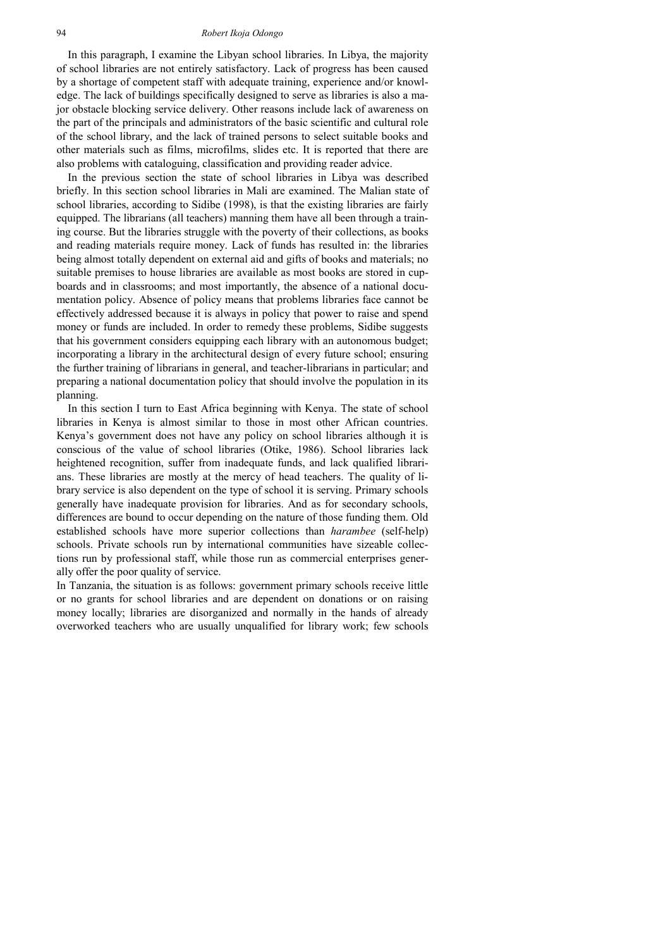#### 94 *Robert Ikoja Odongo*

In this paragraph, I examine the Libyan school libraries. In Libya, the majority of school libraries are not entirely satisfactory. Lack of progress has been caused by a shortage of competent staff with adequate training, experience and/or knowledge. The lack of buildings specifically designed to serve as libraries is also a major obstacle blocking service delivery. Other reasons include lack of awareness on the part of the principals and administrators of the basic scientific and cultural role of the school library, and the lack of trained persons to select suitable books and other materials such as films, microfilms, slides etc. It is reported that there are also problems with cataloguing, classification and providing reader advice.

In the previous section the state of school libraries in Libya was described briefly. In this section school libraries in Mali are examined. The Malian state of school libraries, according to Sidibe (1998), is that the existing libraries are fairly equipped. The librarians (all teachers) manning them have all been through a training course. But the libraries struggle with the poverty of their collections, as books and reading materials require money. Lack of funds has resulted in: the libraries being almost totally dependent on external aid and gifts of books and materials; no suitable premises to house libraries are available as most books are stored in cupboards and in classrooms; and most importantly, the absence of a national documentation policy. Absence of policy means that problems libraries face cannot be effectively addressed because it is always in policy that power to raise and spend money or funds are included. In order to remedy these problems, Sidibe suggests that his government considers equipping each library with an autonomous budget; incorporating a library in the architectural design of every future school; ensuring the further training of librarians in general, and teacher-librarians in particular; and preparing a national documentation policy that should involve the population in its planning.

In this section I turn to East Africa beginning with Kenya. The state of school libraries in Kenya is almost similar to those in most other African countries. Kenya's government does not have any policy on school libraries although it is conscious of the value of school libraries (Otike, 1986). School libraries lack heightened recognition, suffer from inadequate funds, and lack qualified librarians. These libraries are mostly at the mercy of head teachers. The quality of library service is also dependent on the type of school it is serving. Primary schools generally have inadequate provision for libraries. And as for secondary schools, differences are bound to occur depending on the nature of those funding them. Old established schools have more superior collections than *harambee* (self-help) schools. Private schools run by international communities have sizeable collections run by professional staff, while those run as commercial enterprises generally offer the poor quality of service.

In Tanzania, the situation is as follows: government primary schools receive little or no grants for school libraries and are dependent on donations or on raising money locally; libraries are disorganized and normally in the hands of already overworked teachers who are usually unqualified for library work; few schools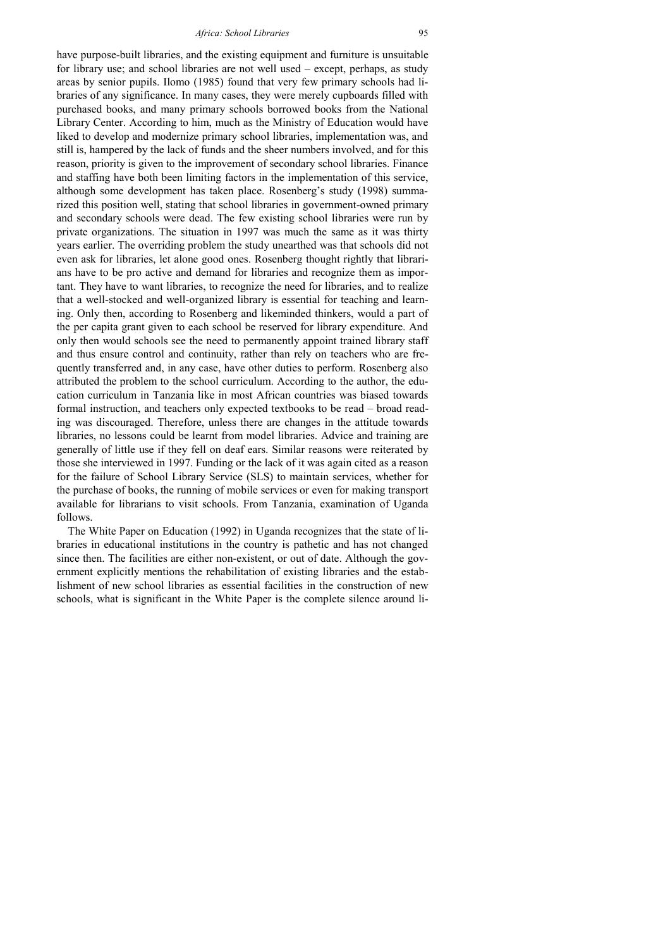have purpose-built libraries, and the existing equipment and furniture is unsuitable for library use; and school libraries are not well used – except, perhaps, as study areas by senior pupils. Ilomo (1985) found that very few primary schools had libraries of any significance. In many cases, they were merely cupboards filled with purchased books, and many primary schools borrowed books from the National Library Center. According to him, much as the Ministry of Education would have liked to develop and modernize primary school libraries, implementation was, and still is, hampered by the lack of funds and the sheer numbers involved, and for this reason, priority is given to the improvement of secondary school libraries. Finance and staffing have both been limiting factors in the implementation of this service, although some development has taken place. Rosenberg's study (1998) summarized this position well, stating that school libraries in government-owned primary and secondary schools were dead. The few existing school libraries were run by private organizations. The situation in 1997 was much the same as it was thirty years earlier. The overriding problem the study unearthed was that schools did not even ask for libraries, let alone good ones. Rosenberg thought rightly that librarians have to be pro active and demand for libraries and recognize them as important. They have to want libraries, to recognize the need for libraries, and to realize that a well-stocked and well-organized library is essential for teaching and learning. Only then, according to Rosenberg and likeminded thinkers, would a part of the per capita grant given to each school be reserved for library expenditure. And only then would schools see the need to permanently appoint trained library staff and thus ensure control and continuity, rather than rely on teachers who are frequently transferred and, in any case, have other duties to perform. Rosenberg also attributed the problem to the school curriculum. According to the author, the education curriculum in Tanzania like in most African countries was biased towards formal instruction, and teachers only expected textbooks to be read – broad reading was discouraged. Therefore, unless there are changes in the attitude towards libraries, no lessons could be learnt from model libraries. Advice and training are generally of little use if they fell on deaf ears. Similar reasons were reiterated by those she interviewed in 1997. Funding or the lack of it was again cited as a reason for the failure of School Library Service (SLS) to maintain services, whether for the purchase of books, the running of mobile services or even for making transport available for librarians to visit schools. From Tanzania, examination of Uganda follows.

The White Paper on Education (1992) in Uganda recognizes that the state of libraries in educational institutions in the country is pathetic and has not changed since then. The facilities are either non-existent, or out of date. Although the government explicitly mentions the rehabilitation of existing libraries and the establishment of new school libraries as essential facilities in the construction of new schools, what is significant in the White Paper is the complete silence around li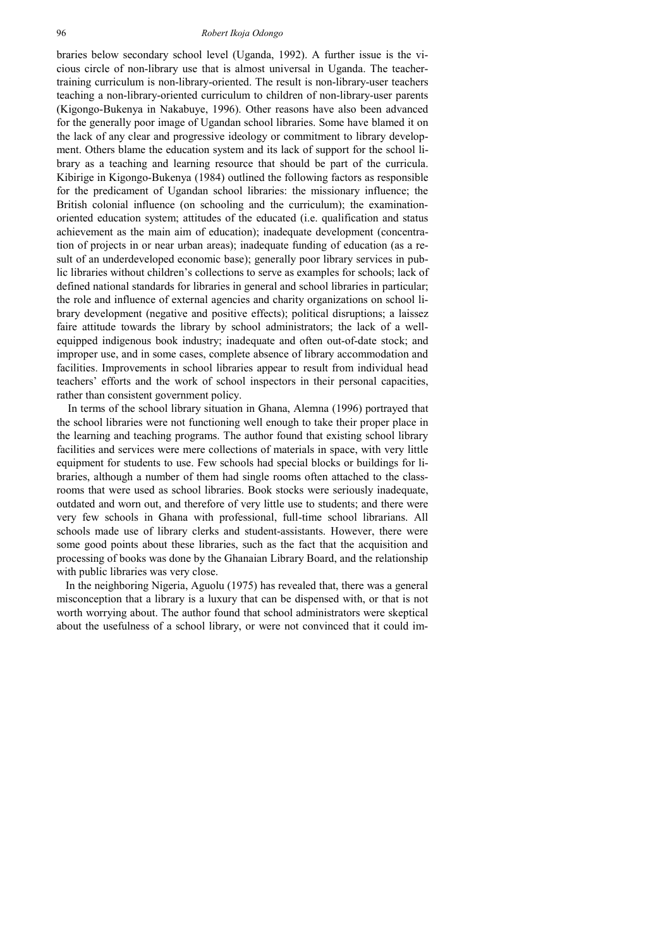braries below secondary school level (Uganda, 1992). A further issue is the vicious circle of non-library use that is almost universal in Uganda. The teachertraining curriculum is non-library-oriented. The result is non-library-user teachers teaching a non-library-oriented curriculum to children of non-library-user parents (Kigongo-Bukenya in Nakabuye, 1996). Other reasons have also been advanced for the generally poor image of Ugandan school libraries. Some have blamed it on the lack of any clear and progressive ideology or commitment to library development. Others blame the education system and its lack of support for the school library as a teaching and learning resource that should be part of the curricula. Kibirige in Kigongo-Bukenya (1984) outlined the following factors as responsible for the predicament of Ugandan school libraries: the missionary influence; the British colonial influence (on schooling and the curriculum); the examinationoriented education system; attitudes of the educated (i.e. qualification and status achievement as the main aim of education); inadequate development (concentration of projects in or near urban areas); inadequate funding of education (as a result of an underdeveloped economic base); generally poor library services in public libraries without children's collections to serve as examples for schools; lack of defined national standards for libraries in general and school libraries in particular; the role and influence of external agencies and charity organizations on school library development (negative and positive effects); political disruptions; a laissez faire attitude towards the library by school administrators; the lack of a wellequipped indigenous book industry; inadequate and often out-of-date stock; and improper use, and in some cases, complete absence of library accommodation and facilities. Improvements in school libraries appear to result from individual head teachers' efforts and the work of school inspectors in their personal capacities, rather than consistent government policy.

In terms of the school library situation in Ghana, Alemna (1996) portrayed that the school libraries were not functioning well enough to take their proper place in the learning and teaching programs. The author found that existing school library facilities and services were mere collections of materials in space, with very little equipment for students to use. Few schools had special blocks or buildings for libraries, although a number of them had single rooms often attached to the classrooms that were used as school libraries. Book stocks were seriously inadequate, outdated and worn out, and therefore of very little use to students; and there were very few schools in Ghana with professional, full-time school librarians. All schools made use of library clerks and student-assistants. However, there were some good points about these libraries, such as the fact that the acquisition and processing of books was done by the Ghanaian Library Board, and the relationship with public libraries was very close.

In the neighboring Nigeria, Aguolu (1975) has revealed that, there was a general misconception that a library is a luxury that can be dispensed with, or that is not worth worrying about. The author found that school administrators were skeptical about the usefulness of a school library, or were not convinced that it could im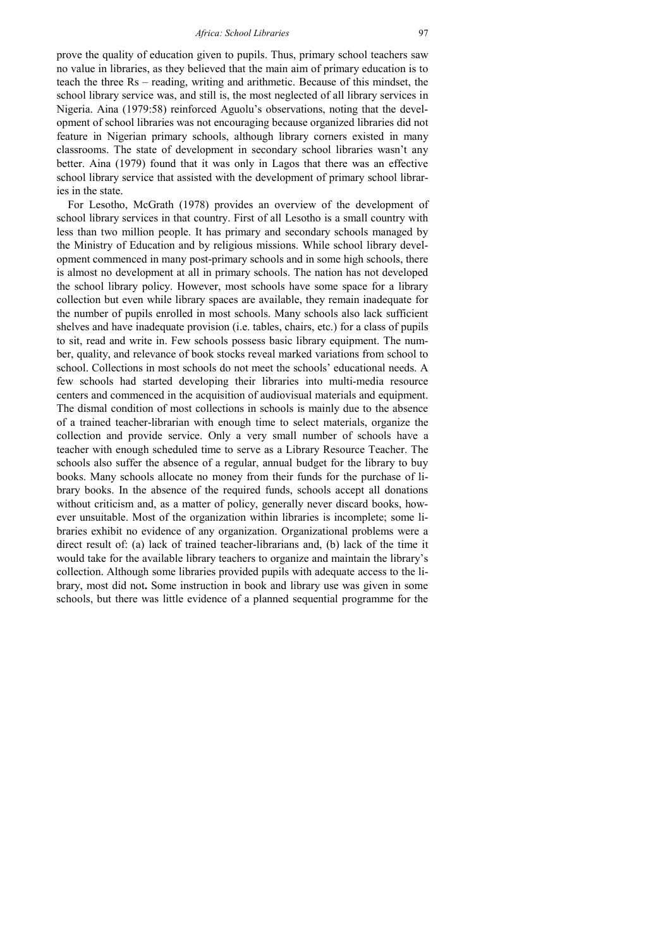prove the quality of education given to pupils. Thus, primary school teachers saw no value in libraries, as they believed that the main aim of primary education is to teach the three Rs – reading, writing and arithmetic. Because of this mindset, the school library service was, and still is, the most neglected of all library services in Nigeria. Aina (1979:58) reinforced Aguolu's observations, noting that the development of school libraries was not encouraging because organized libraries did not feature in Nigerian primary schools, although library corners existed in many classrooms. The state of development in secondary school libraries wasn't any better. Aina (1979) found that it was only in Lagos that there was an effective school library service that assisted with the development of primary school libraries in the state.

For Lesotho, McGrath (1978) provides an overview of the development of school library services in that country. First of all Lesotho is a small country with less than two million people. It has primary and secondary schools managed by the Ministry of Education and by religious missions. While school library development commenced in many post-primary schools and in some high schools, there is almost no development at all in primary schools. The nation has not developed the school library policy. However, most schools have some space for a library collection but even while library spaces are available, they remain inadequate for the number of pupils enrolled in most schools. Many schools also lack sufficient shelves and have inadequate provision (i.e. tables, chairs, etc.) for a class of pupils to sit, read and write in. Few schools possess basic library equipment. The number, quality, and relevance of book stocks reveal marked variations from school to school. Collections in most schools do not meet the schools' educational needs. A few schools had started developing their libraries into multi-media resource centers and commenced in the acquisition of audiovisual materials and equipment. The dismal condition of most collections in schools is mainly due to the absence of a trained teacher-librarian with enough time to select materials, organize the collection and provide service. Only a very small number of schools have a teacher with enough scheduled time to serve as a Library Resource Teacher. The schools also suffer the absence of a regular, annual budget for the library to buy books. Many schools allocate no money from their funds for the purchase of library books. In the absence of the required funds, schools accept all donations without criticism and, as a matter of policy, generally never discard books, however unsuitable. Most of the organization within libraries is incomplete; some libraries exhibit no evidence of any organization. Organizational problems were a direct result of: (a) lack of trained teacher-librarians and, (b) lack of the time it would take for the available library teachers to organize and maintain the library's collection. Although some libraries provided pupils with adequate access to the library, most did not**.** Some instruction in book and library use was given in some schools, but there was little evidence of a planned sequential programme for the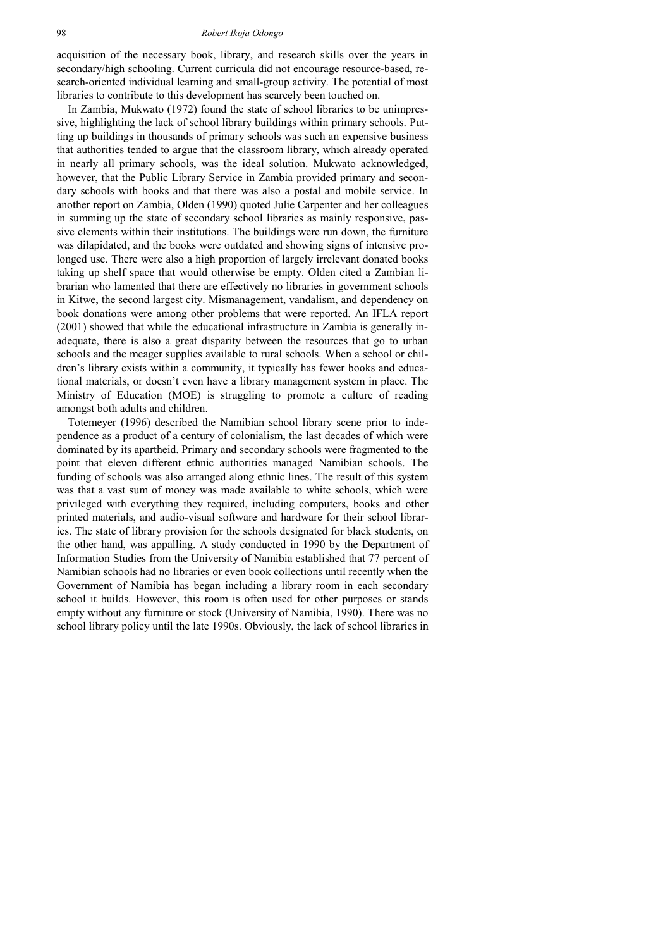#### 98 *Robert Ikoja Odongo*

acquisition of the necessary book, library, and research skills over the years in secondary/high schooling. Current curricula did not encourage resource-based, research-oriented individual learning and small-group activity. The potential of most libraries to contribute to this development has scarcely been touched on.

In Zambia, Mukwato (1972) found the state of school libraries to be unimpressive, highlighting the lack of school library buildings within primary schools. Putting up buildings in thousands of primary schools was such an expensive business that authorities tended to argue that the classroom library, which already operated in nearly all primary schools, was the ideal solution. Mukwato acknowledged, however, that the Public Library Service in Zambia provided primary and secondary schools with books and that there was also a postal and mobile service. In another report on Zambia, Olden (1990) quoted Julie Carpenter and her colleagues in summing up the state of secondary school libraries as mainly responsive, passive elements within their institutions. The buildings were run down, the furniture was dilapidated, and the books were outdated and showing signs of intensive prolonged use. There were also a high proportion of largely irrelevant donated books taking up shelf space that would otherwise be empty. Olden cited a Zambian librarian who lamented that there are effectively no libraries in government schools in Kitwe, the second largest city. Mismanagement, vandalism, and dependency on book donations were among other problems that were reported. An IFLA report (2001) showed that while the educational infrastructure in Zambia is generally inadequate, there is also a great disparity between the resources that go to urban schools and the meager supplies available to rural schools. When a school or children's library exists within a community, it typically has fewer books and educational materials, or doesn't even have a library management system in place. The Ministry of Education (MOE) is struggling to promote a culture of reading amongst both adults and children.

Totemeyer (1996) described the Namibian school library scene prior to independence as a product of a century of colonialism, the last decades of which were dominated by its apartheid. Primary and secondary schools were fragmented to the point that eleven different ethnic authorities managed Namibian schools. The funding of schools was also arranged along ethnic lines. The result of this system was that a vast sum of money was made available to white schools, which were privileged with everything they required, including computers, books and other printed materials, and audio-visual software and hardware for their school libraries. The state of library provision for the schools designated for black students, on the other hand, was appalling. A study conducted in 1990 by the Department of Information Studies from the University of Namibia established that 77 percent of Namibian schools had no libraries or even book collections until recently when the Government of Namibia has began including a library room in each secondary school it builds. However, this room is often used for other purposes or stands empty without any furniture or stock (University of Namibia, 1990). There was no school library policy until the late 1990s. Obviously, the lack of school libraries in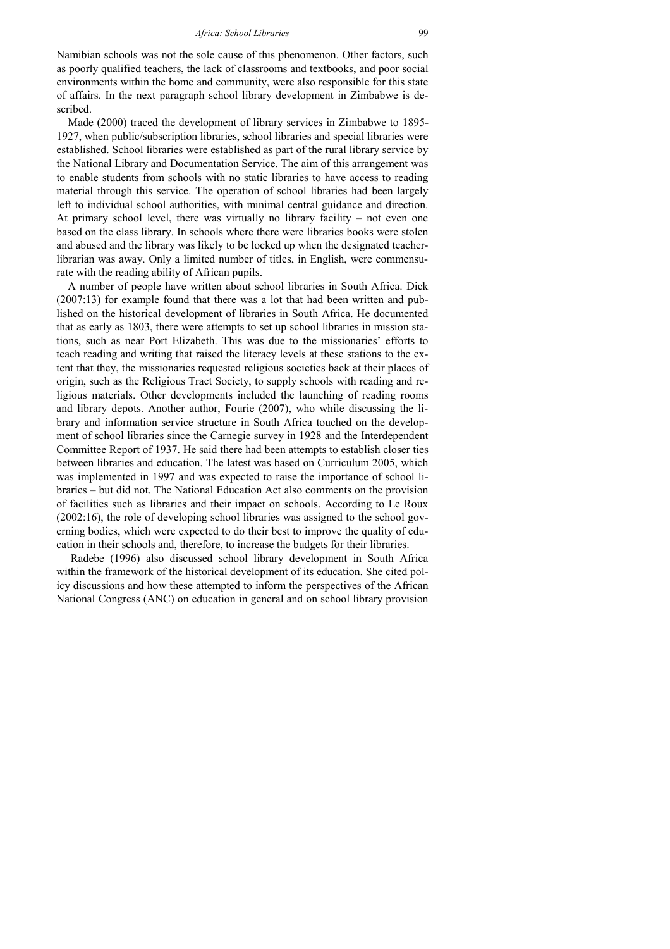Namibian schools was not the sole cause of this phenomenon. Other factors, such as poorly qualified teachers, the lack of classrooms and textbooks, and poor social environments within the home and community, were also responsible for this state of affairs. In the next paragraph school library development in Zimbabwe is described.

Made (2000) traced the development of library services in Zimbabwe to 1895- 1927, when public/subscription libraries, school libraries and special libraries were established. School libraries were established as part of the rural library service by the National Library and Documentation Service. The aim of this arrangement was to enable students from schools with no static libraries to have access to reading material through this service. The operation of school libraries had been largely left to individual school authorities, with minimal central guidance and direction. At primary school level, there was virtually no library facility – not even one based on the class library. In schools where there were libraries books were stolen and abused and the library was likely to be locked up when the designated teacherlibrarian was away. Only a limited number of titles, in English, were commensurate with the reading ability of African pupils.

A number of people have written about school libraries in South Africa. Dick (2007:13) for example found that there was a lot that had been written and published on the historical development of libraries in South Africa. He documented that as early as 1803, there were attempts to set up school libraries in mission stations, such as near Port Elizabeth. This was due to the missionaries' efforts to teach reading and writing that raised the literacy levels at these stations to the extent that they, the missionaries requested religious societies back at their places of origin, such as the Religious Tract Society, to supply schools with reading and religious materials. Other developments included the launching of reading rooms and library depots. Another author, Fourie (2007), who while discussing the library and information service structure in South Africa touched on the development of school libraries since the Carnegie survey in 1928 and the Interdependent Committee Report of 1937. He said there had been attempts to establish closer ties between libraries and education. The latest was based on Curriculum 2005, which was implemented in 1997 and was expected to raise the importance of school libraries – but did not. The National Education Act also comments on the provision of facilities such as libraries and their impact on schools. According to Le Roux (2002:16), the role of developing school libraries was assigned to the school governing bodies, which were expected to do their best to improve the quality of education in their schools and, therefore, to increase the budgets for their libraries.

 Radebe (1996) also discussed school library development in South Africa within the framework of the historical development of its education. She cited policy discussions and how these attempted to inform the perspectives of the African National Congress (ANC) on education in general and on school library provision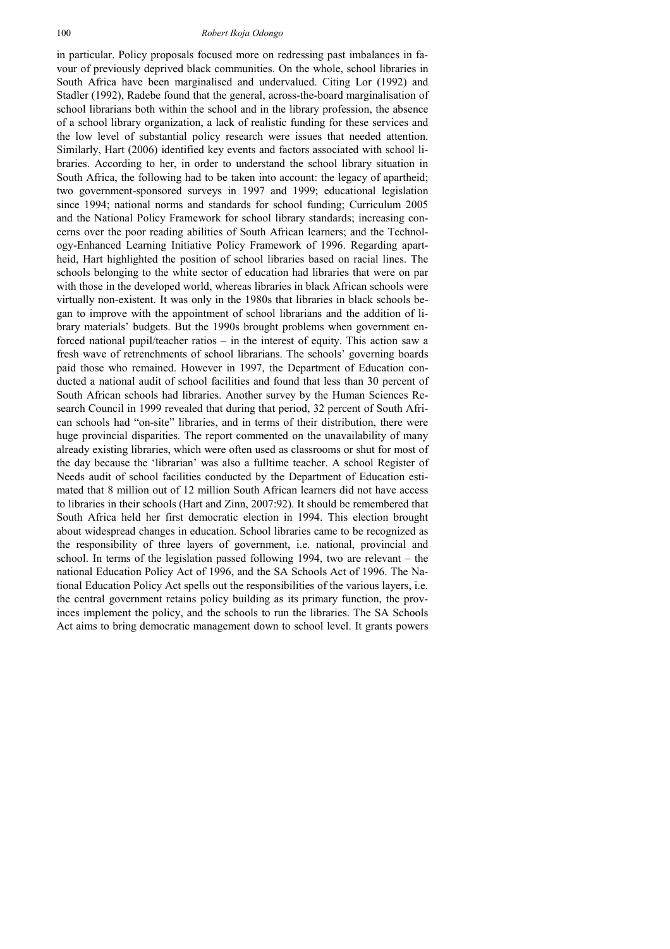in particular. Policy proposals focused more on redressing past imbalances in favour of previously deprived black communities. On the whole, school libraries in South Africa have been marginalised and undervalued. Citing Lor (1992) and Stadler (1992), Radebe found that the general, across-the-board marginalisation of school librarians both within the school and in the library profession, the absence of a school library organization, a lack of realistic funding for these services and the low level of substantial policy research were issues that needed attention. Similarly, Hart (2006) identified key events and factors associated with school libraries. According to her, in order to understand the school library situation in South Africa, the following had to be taken into account: the legacy of apartheid; two government-sponsored surveys in 1997 and 1999; educational legislation since 1994; national norms and standards for school funding; Curriculum 2005 and the National Policy Framework for school library standards; increasing concerns over the poor reading abilities of South African learners; and the Technology-Enhanced Learning Initiative Policy Framework of 1996. Regarding apartheid, Hart highlighted the position of school libraries based on racial lines. The schools belonging to the white sector of education had libraries that were on par with those in the developed world, whereas libraries in black African schools were virtually non-existent. It was only in the 1980s that libraries in black schools began to improve with the appointment of school librarians and the addition of library materials' budgets. But the 1990s brought problems when government enforced national pupil/teacher ratios – in the interest of equity. This action saw a fresh wave of retrenchments of school librarians. The schools' governing boards paid those who remained. However in 1997, the Department of Education conducted a national audit of school facilities and found that less than 30 percent of South African schools had libraries. Another survey by the Human Sciences Research Council in 1999 revealed that during that period, 32 percent of South African schools had "on-site" libraries, and in terms of their distribution, there were huge provincial disparities. The report commented on the unavailability of many already existing libraries, which were often used as classrooms or shut for most of the day because the 'librarian' was also a fulltime teacher. A school Register of Needs audit of school facilities conducted by the Department of Education estimated that 8 million out of 12 million South African learners did not have access to libraries in their schools (Hart and Zinn, 2007:92). It should be remembered that South Africa held her first democratic election in 1994. This election brought about widespread changes in education. School libraries came to be recognized as the responsibility of three layers of government, i.e. national, provincial and school. In terms of the legislation passed following 1994, two are relevant – the national Education Policy Act of 1996, and the SA Schools Act of 1996. The National Education Policy Act spells out the responsibilities of the various layers, i.e. the central government retains policy building as its primary function, the provinces implement the policy, and the schools to run the libraries. The SA Schools Act aims to bring democratic management down to school level. It grants powers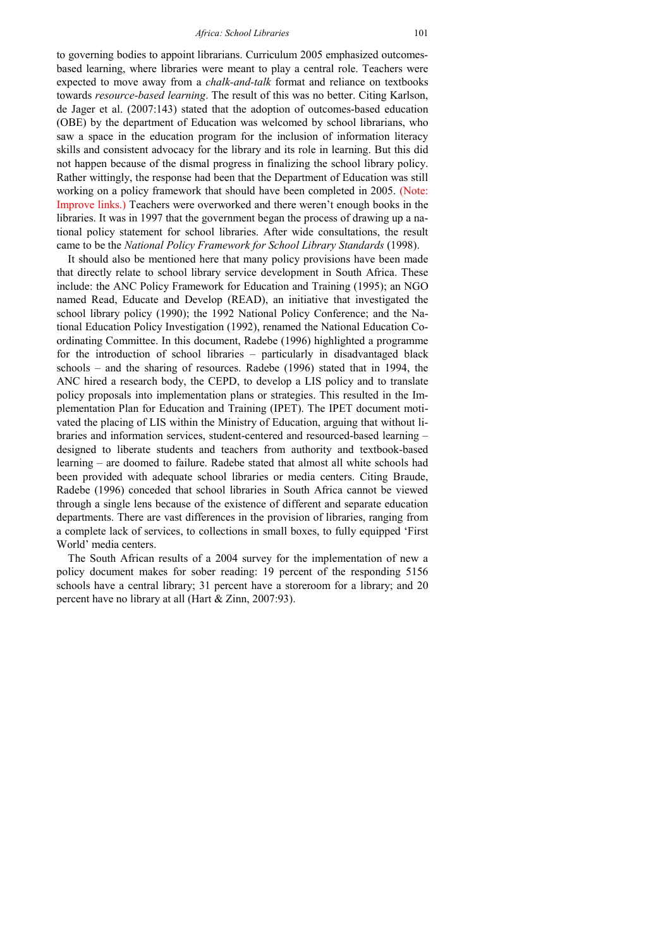to governing bodies to appoint librarians. Curriculum 2005 emphasized outcomesbased learning, where libraries were meant to play a central role. Teachers were expected to move away from a *chalk-and-talk* format and reliance on textbooks towards *resource-based learning*. The result of this was no better. Citing Karlson, de Jager et al. (2007:143) stated that the adoption of outcomes-based education (OBE) by the department of Education was welcomed by school librarians, who saw a space in the education program for the inclusion of information literacy skills and consistent advocacy for the library and its role in learning. But this did not happen because of the dismal progress in finalizing the school library policy. Rather wittingly, the response had been that the Department of Education was still working on a policy framework that should have been completed in 2005. (Note: Improve links.) Teachers were overworked and there weren't enough books in the libraries. It was in 1997 that the government began the process of drawing up a national policy statement for school libraries. After wide consultations, the result came to be the *National Policy Framework for School Library Standards* (1998).

It should also be mentioned here that many policy provisions have been made that directly relate to school library service development in South Africa. These include: the ANC Policy Framework for Education and Training (1995); an NGO named Read, Educate and Develop (READ), an initiative that investigated the school library policy (1990); the 1992 National Policy Conference; and the National Education Policy Investigation (1992), renamed the National Education Coordinating Committee. In this document, Radebe (1996) highlighted a programme for the introduction of school libraries – particularly in disadvantaged black schools – and the sharing of resources. Radebe (1996) stated that in 1994, the ANC hired a research body, the CEPD, to develop a LIS policy and to translate policy proposals into implementation plans or strategies. This resulted in the Implementation Plan for Education and Training (IPET). The IPET document motivated the placing of LIS within the Ministry of Education, arguing that without libraries and information services, student-centered and resourced-based learning – designed to liberate students and teachers from authority and textbook-based learning – are doomed to failure. Radebe stated that almost all white schools had been provided with adequate school libraries or media centers. Citing Braude, Radebe (1996) conceded that school libraries in South Africa cannot be viewed through a single lens because of the existence of different and separate education departments. There are vast differences in the provision of libraries, ranging from a complete lack of services, to collections in small boxes, to fully equipped 'First World' media centers.

The South African results of a 2004 survey for the implementation of new a policy document makes for sober reading: 19 percent of the responding 5156 schools have a central library; 31 percent have a storeroom for a library; and 20 percent have no library at all (Hart & Zinn, 2007:93).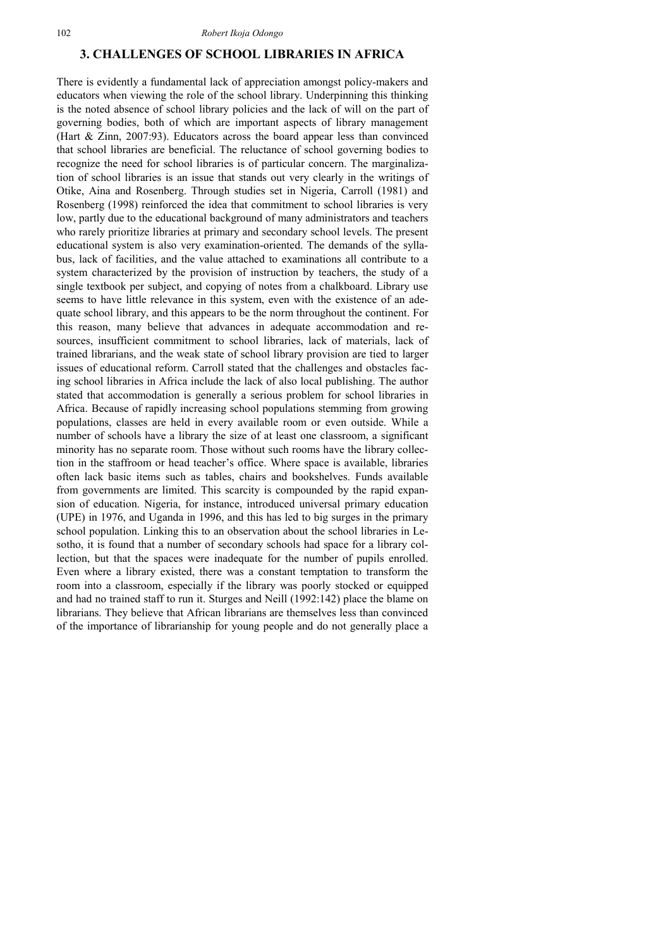### **3. CHALLENGES OF SCHOOL LIBRARIES IN AFRICA**

There is evidently a fundamental lack of appreciation amongst policy-makers and educators when viewing the role of the school library. Underpinning this thinking is the noted absence of school library policies and the lack of will on the part of governing bodies, both of which are important aspects of library management (Hart & Zinn, 2007:93). Educators across the board appear less than convinced that school libraries are beneficial. The reluctance of school governing bodies to recognize the need for school libraries is of particular concern. The marginalization of school libraries is an issue that stands out very clearly in the writings of Otike, Aina and Rosenberg. Through studies set in Nigeria, Carroll (1981) and Rosenberg (1998) reinforced the idea that commitment to school libraries is very low, partly due to the educational background of many administrators and teachers who rarely prioritize libraries at primary and secondary school levels. The present educational system is also very examination-oriented. The demands of the syllabus, lack of facilities, and the value attached to examinations all contribute to a system characterized by the provision of instruction by teachers, the study of a single textbook per subject, and copying of notes from a chalkboard. Library use seems to have little relevance in this system, even with the existence of an adequate school library, and this appears to be the norm throughout the continent. For this reason, many believe that advances in adequate accommodation and resources, insufficient commitment to school libraries, lack of materials, lack of trained librarians, and the weak state of school library provision are tied to larger issues of educational reform. Carroll stated that the challenges and obstacles facing school libraries in Africa include the lack of also local publishing. The author stated that accommodation is generally a serious problem for school libraries in Africa. Because of rapidly increasing school populations stemming from growing populations, classes are held in every available room or even outside. While a number of schools have a library the size of at least one classroom, a significant minority has no separate room. Those without such rooms have the library collection in the staffroom or head teacher's office. Where space is available, libraries often lack basic items such as tables, chairs and bookshelves. Funds available from governments are limited. This scarcity is compounded by the rapid expansion of education. Nigeria, for instance, introduced universal primary education (UPE) in 1976, and Uganda in 1996, and this has led to big surges in the primary school population. Linking this to an observation about the school libraries in Lesotho, it is found that a number of secondary schools had space for a library collection, but that the spaces were inadequate for the number of pupils enrolled. Even where a library existed, there was a constant temptation to transform the room into a classroom, especially if the library was poorly stocked or equipped and had no trained staff to run it. Sturges and Neill (1992:142) place the blame on librarians. They believe that African librarians are themselves less than convinced of the importance of librarianship for young people and do not generally place a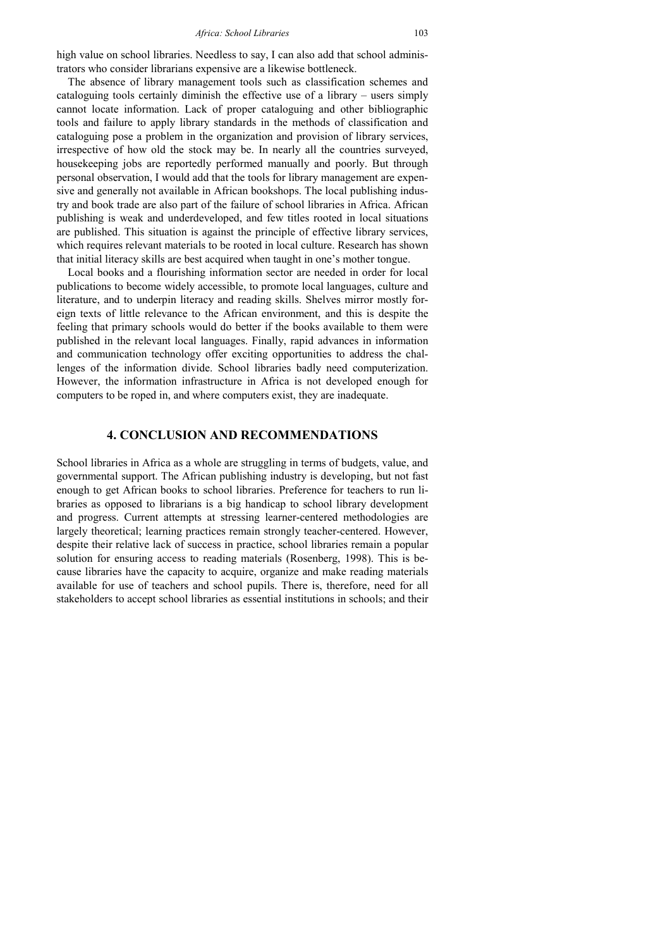high value on school libraries. Needless to say, I can also add that school administrators who consider librarians expensive are a likewise bottleneck.

The absence of library management tools such as classification schemes and cataloguing tools certainly diminish the effective use of a library – users simply cannot locate information. Lack of proper cataloguing and other bibliographic tools and failure to apply library standards in the methods of classification and cataloguing pose a problem in the organization and provision of library services, irrespective of how old the stock may be. In nearly all the countries surveyed, housekeeping jobs are reportedly performed manually and poorly. But through personal observation, I would add that the tools for library management are expensive and generally not available in African bookshops. The local publishing industry and book trade are also part of the failure of school libraries in Africa. African publishing is weak and underdeveloped, and few titles rooted in local situations are published. This situation is against the principle of effective library services, which requires relevant materials to be rooted in local culture. Research has shown that initial literacy skills are best acquired when taught in one's mother tongue.

Local books and a flourishing information sector are needed in order for local publications to become widely accessible, to promote local languages, culture and literature, and to underpin literacy and reading skills. Shelves mirror mostly foreign texts of little relevance to the African environment, and this is despite the feeling that primary schools would do better if the books available to them were published in the relevant local languages. Finally, rapid advances in information and communication technology offer exciting opportunities to address the challenges of the information divide. School libraries badly need computerization. However, the information infrastructure in Africa is not developed enough for computers to be roped in, and where computers exist, they are inadequate.

### **4. CONCLUSION AND RECOMMENDATIONS**

School libraries in Africa as a whole are struggling in terms of budgets, value, and governmental support. The African publishing industry is developing, but not fast enough to get African books to school libraries. Preference for teachers to run libraries as opposed to librarians is a big handicap to school library development and progress. Current attempts at stressing learner-centered methodologies are largely theoretical; learning practices remain strongly teacher-centered. However, despite their relative lack of success in practice, school libraries remain a popular solution for ensuring access to reading materials (Rosenberg, 1998). This is because libraries have the capacity to acquire, organize and make reading materials available for use of teachers and school pupils. There is, therefore, need for all stakeholders to accept school libraries as essential institutions in schools; and their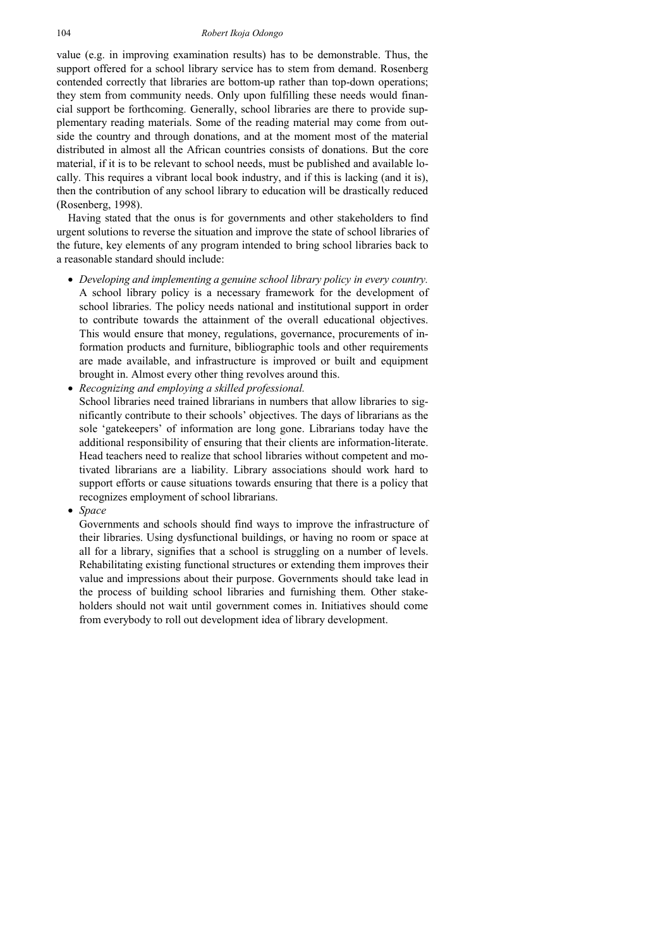value (e.g. in improving examination results) has to be demonstrable. Thus, the support offered for a school library service has to stem from demand. Rosenberg contended correctly that libraries are bottom-up rather than top-down operations; they stem from community needs. Only upon fulfilling these needs would financial support be forthcoming. Generally, school libraries are there to provide supplementary reading materials. Some of the reading material may come from outside the country and through donations, and at the moment most of the material distributed in almost all the African countries consists of donations. But the core material, if it is to be relevant to school needs, must be published and available locally. This requires a vibrant local book industry, and if this is lacking (and it is), then the contribution of any school library to education will be drastically reduced (Rosenberg, 1998).

Having stated that the onus is for governments and other stakeholders to find urgent solutions to reverse the situation and improve the state of school libraries of the future, key elements of any program intended to bring school libraries back to a reasonable standard should include:

- *Developing and implementing a genuine school library policy in every country.* A school library policy is a necessary framework for the development of school libraries. The policy needs national and institutional support in order to contribute towards the attainment of the overall educational objectives. This would ensure that money, regulations, governance, procurements of information products and furniture, bibliographic tools and other requirements are made available, and infrastructure is improved or built and equipment brought in. Almost every other thing revolves around this.
- *Recognizing and employing a skilled professional.*  School libraries need trained librarians in numbers that allow libraries to significantly contribute to their schools' objectives. The days of librarians as the sole 'gatekeepers' of information are long gone. Librarians today have the additional responsibility of ensuring that their clients are information-literate. Head teachers need to realize that school libraries without competent and motivated librarians are a liability. Library associations should work hard to support efforts or cause situations towards ensuring that there is a policy that recognizes employment of school librarians.
- *Space*

Governments and schools should find ways to improve the infrastructure of their libraries. Using dysfunctional buildings, or having no room or space at all for a library, signifies that a school is struggling on a number of levels. Rehabilitating existing functional structures or extending them improves their value and impressions about their purpose. Governments should take lead in the process of building school libraries and furnishing them. Other stakeholders should not wait until government comes in. Initiatives should come from everybody to roll out development idea of library development.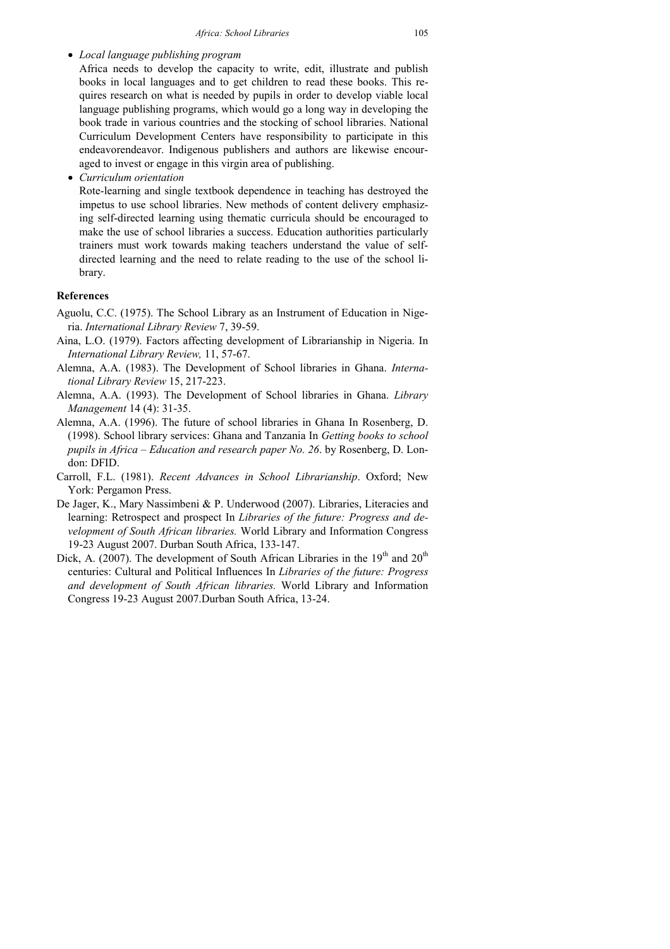• *Local language publishing program* 

Africa needs to develop the capacity to write, edit, illustrate and publish books in local languages and to get children to read these books. This requires research on what is needed by pupils in order to develop viable local language publishing programs, which would go a long way in developing the book trade in various countries and the stocking of school libraries. National Curriculum Development Centers have responsibility to participate in this endeavorendeavor. Indigenous publishers and authors are likewise encouraged to invest or engage in this virgin area of publishing.

• *Curriculum orientation* 

Rote-learning and single textbook dependence in teaching has destroyed the impetus to use school libraries. New methods of content delivery emphasizing self-directed learning using thematic curricula should be encouraged to make the use of school libraries a success. Education authorities particularly trainers must work towards making teachers understand the value of selfdirected learning and the need to relate reading to the use of the school library.

#### **References**

- Aguolu, C.C. (1975). The School Library as an Instrument of Education in Nigeria. *International Library Review* 7, 39-59.
- Aina, L.O. (1979). Factors affecting development of Librarianship in Nigeria. In *International Library Review,* 11, 57-67.
- Alemna, A.A. (1983). The Development of School libraries in Ghana. *International Library Review* 15, 217-223.
- Alemna, A.A. (1993). The Development of School libraries in Ghana. *Library Management* 14 (4): 31-35.
- Alemna, A.A. (1996). The future of school libraries in Ghana In Rosenberg, D. (1998). School library services: Ghana and Tanzania In *Getting books to school pupils in Africa – Education and research paper No. 26*. by Rosenberg, D. London: DFID.
- Carroll, F.L. (1981). *Recent Advances in School Librarianship*. Oxford; New York: Pergamon Press.
- De Jager, K., Mary Nassimbeni & P. Underwood (2007). Libraries, Literacies and learning: Retrospect and prospect In *Libraries of the future: Progress and development of South African libraries.* World Library and Information Congress 19-23 August 2007. Durban South Africa, 133-147.
- Dick, A. (2007). The development of South African Libraries in the  $19<sup>th</sup>$  and  $20<sup>th</sup>$ centuries: Cultural and Political Influences In *Libraries of the future: Progress and development of South African libraries.* World Library and Information Congress 19-23 August 2007.Durban South Africa, 13-24.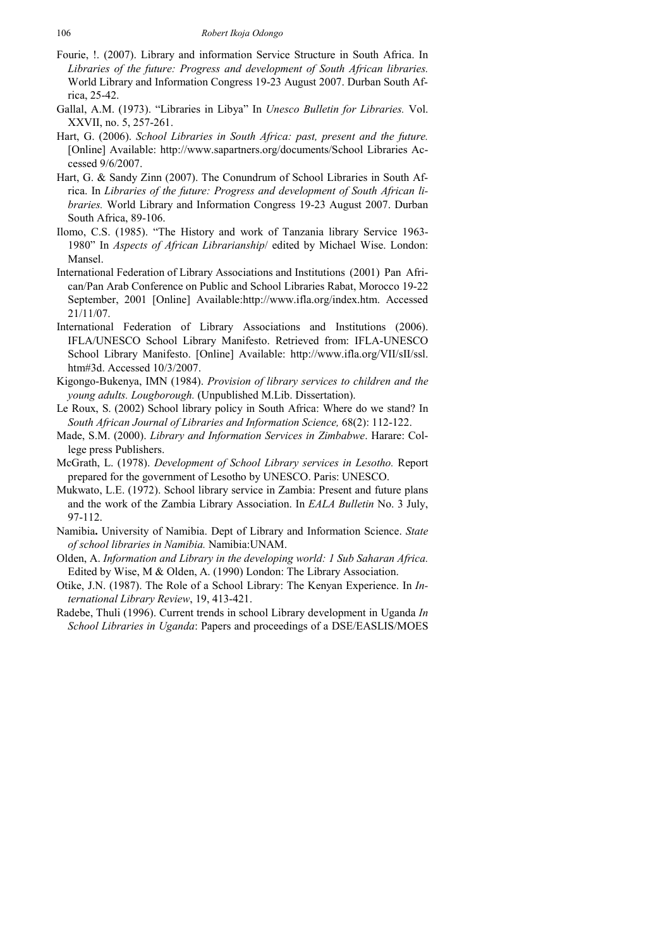- Fourie, !. (2007). Library and information Service Structure in South Africa. In *Libraries of the future: Progress and development of South African libraries.* World Library and Information Congress 19-23 August 2007. Durban South Africa, 25-42.
- Gallal, A.M. (1973). "Libraries in Libya" In *Unesco Bulletin for Libraries.* Vol. XXVII, no. 5, 257-261.
- Hart, G. (2006). *School Libraries in South Africa: past, present and the future.* [Online] Available: http://www.sapartners.org/documents/School Libraries Accessed 9/6/2007.
- Hart, G. & Sandy Zinn (2007). The Conundrum of School Libraries in South Africa. In *Libraries of the future: Progress and development of South African libraries.* World Library and Information Congress 19-23 August 2007. Durban South Africa, 89-106.
- Ilomo, C.S. (1985). "The History and work of Tanzania library Service 1963- 1980" In *Aspects of African Librarianship*/ edited by Michael Wise. London: Mansel.
- International Federation of Library Associations and Institutions (2001) Pan African/Pan Arab Conference on Public and School Libraries Rabat, Morocco 19-22 September, 2001 [Online] Available:http://www.ifla.org/index.htm. Accessed 21/11/07.
- International Federation of Library Associations and Institutions (2006). IFLA/UNESCO School Library Manifesto. Retrieved from: IFLA-UNESCO School Library Manifesto. [Online] Available: http://www.ifla.org/VII/sII/ssl. htm#3d. Accessed 10/3/2007.
- Kigongo-Bukenya, IMN (1984). *Provision of library services to children and the young adults. Lougborough.* (Unpublished M.Lib. Dissertation).
- Le Roux, S. (2002) School library policy in South Africa: Where do we stand? In *South African Journal of Libraries and Information Science,* 68(2): 112-122.
- Made, S.M. (2000). *Library and Information Services in Zimbabwe*. Harare: College press Publishers.
- McGrath, L. (1978). *Development of School Library services in Lesotho.* Report prepared for the government of Lesotho by UNESCO. Paris: UNESCO.
- Mukwato, L.E. (1972). School library service in Zambia: Present and future plans and the work of the Zambia Library Association. In *EALA Bulletin* No. 3 July, 97-112.
- Namibia**.** University of Namibia. Dept of Library and Information Science. *State of school libraries in Namibia.* Namibia:UNAM.
- Olden, A. *Information and Library in the developing world: 1 Sub Saharan Africa.* Edited by Wise, M & Olden, A. (1990) London: The Library Association.
- Otike, J.N. (1987). The Role of a School Library: The Kenyan Experience. In *International Library Review*, 19, 413-421.
- Radebe, Thuli (1996). Current trends in school Library development in Uganda *In School Libraries in Uganda*: Papers and proceedings of a DSE/EASLIS/MOES